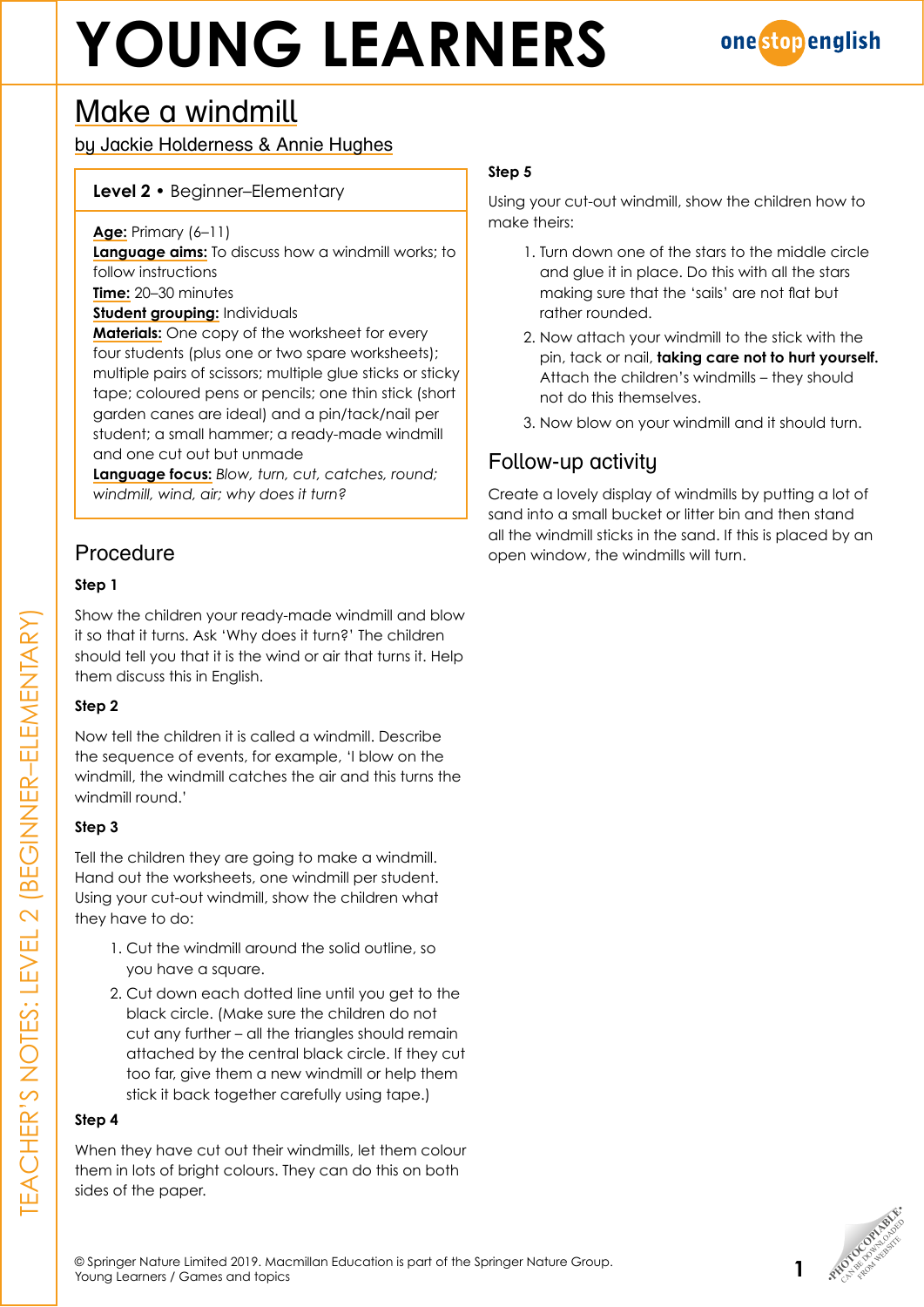# **YOUNG LEARNERS**



## Make a windmill

by Jackie Holderness & Annie Hughes

#### **Level 2** • Beginner–Elementary

**Age:** Primary (6–11)

**Language aims:** To discuss how a windmill works; to follow instructions

**Time:** 20–30 minutes

**Student grouping:** Individuals

**Materials:** One copy of the worksheet for every four students (plus one or two spare worksheets); multiple pairs of scissors; multiple glue sticks or sticky tape; coloured pens or pencils; one thin stick (short garden canes are ideal) and a pin/tack/nail per student; a small hammer; a ready-made windmill and one cut out but unmade

**Language focus:** *Blow, turn, cut, catches, round; windmill, wind, air; why does it turn?*

### Procedure

#### **Step 1**

Show the children your ready-made windmill and blow it so that it turns. Ask 'Why does it turn?' The children should tell you that it is the wind or air that turns it. Help them discuss this in English.

#### **Step 2**

Now tell the children it is called a windmill. Describe the sequence of events, for example, 'I blow on the windmill, the windmill catches the air and this turns the windmill round.'

#### **Step 3**

Tell the children they are going to make a windmill. Hand out the worksheets, one windmill per student. Using your cut-out windmill, show the children what they have to do:

- 1. Cut the windmill around the solid outline, so you have a square.
- 2. Cut down each dotted line until you get to the black circle. (Make sure the children do not cut any further – all the triangles should remain attached by the central black circle. If they cut too far, give them a new windmill or help them stick it back together carefully using tape.)

#### **Step 4**

When they have cut out their windmills, let them colour them in lots of bright colours. They can do this on both sides of the paper.

#### **Step 5**

Using your cut-out windmill, show the children how to make theirs:

- 1. Turn down one of the stars to the middle circle and glue it in place. Do this with all the stars making sure that the 'sails' are not flat but rather rounded.
- 2. Now attach your windmill to the stick with the pin, tack or nail, **taking care not to hurt yourself.** Attach the children's windmills – they should not do this themselves.
- 3. Now blow on your windmill and it should turn.

### Follow-up activity

Create a lovely display of windmills by putting a lot of sand into a small bucket or litter bin and then stand all the windmill sticks in the sand. If this is placed by an open window, the windmills will turn.